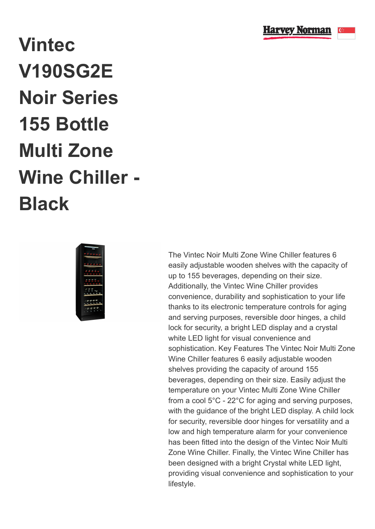

## **Vintec V190SG2E Noir Series 155 Bottle Multi Zone Wine Chiller - Black**



The Vintec Noir Multi Zone Wine Chiller features 6 easily adjustable wooden shelves with the capacity of up to 155 beverages, depending on their size. Additionally, the Vintec Wine Chiller provides convenience, durability and sophistication to your life thanks to its electronic temperature controls for aging and serving purposes, reversible door hinges, a child lock for security, a bright LED display and a crystal white LED light for visual convenience and sophistication. Key Features The Vintec Noir Multi Zone Wine Chiller features 6 easily adjustable wooden shelves providing the capacity of around 155 beverages, depending on their size. Easily adjust the temperature on your Vintec Multi Zone Wine Chiller from a cool 5°C - 22°C for aging and serving purposes, with the guidance of the bright LED display. A child lock for security, reversible door hinges for versatility and a low and high temperature alarm for your convenience has been fitted into the design of the Vintec Noir Multi Zone Wine Chiller. Finally, the Vintec Wine Chiller has been designed with a bright Crystal white LED light, providing visual convenience and sophistication to your lifestyle.